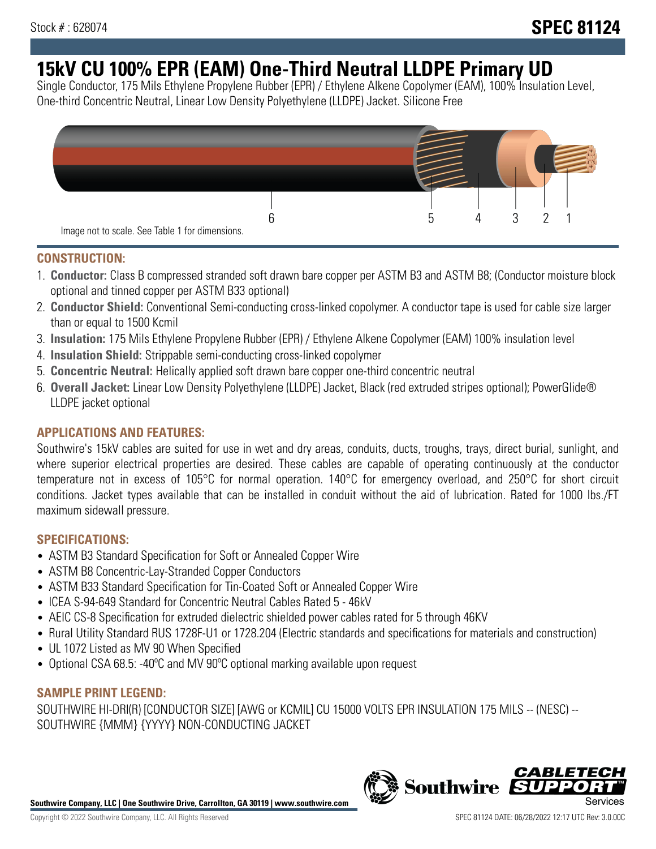# **15kV CU 100% EPR (EAM) One-Third Neutral LLDPE Primary UD**

Single Conductor, 175 Mils Ethylene Propylene Rubber (EPR) / Ethylene Alkene Copolymer (EAM), 100% Insulation Level, One-third Concentric Neutral, Linear Low Density Polyethylene (LLDPE) Jacket. Silicone Free



#### **CONSTRUCTION:**

- 1. **Conductor:** Class B compressed stranded soft drawn bare copper per ASTM B3 and ASTM B8; (Conductor moisture block optional and tinned copper per ASTM B33 optional)
- 2. **Conductor Shield:** Conventional Semi-conducting cross-linked copolymer. A conductor tape is used for cable size larger than or equal to 1500 Kcmil
- 3. **Insulation:** 175 Mils Ethylene Propylene Rubber (EPR) / Ethylene Alkene Copolymer (EAM) 100% insulation level
- 4. **Insulation Shield:** Strippable semi-conducting cross-linked copolymer
- 5. **Concentric Neutral:** Helically applied soft drawn bare copper one-third concentric neutral
- 6. **Overall Jacket:** Linear Low Density Polyethylene (LLDPE) Jacket, Black (red extruded stripes optional); PowerGlide® LLDPE jacket optional

### **APPLICATIONS AND FEATURES:**

Southwire's 15kV cables are suited for use in wet and dry areas, conduits, ducts, troughs, trays, direct burial, sunlight, and where superior electrical properties are desired. These cables are capable of operating continuously at the conductor temperature not in excess of 105°C for normal operation. 140°C for emergency overload, and 250°C for short circuit conditions. Jacket types available that can be installed in conduit without the aid of lubrication. Rated for 1000 lbs./FT maximum sidewall pressure.

#### **SPECIFICATIONS:**

- ASTM B3 Standard Specification for Soft or Annealed Copper Wire
- ASTM B8 Concentric-Lay-Stranded Copper Conductors
- ASTM B33 Standard Specification for Tin-Coated Soft or Annealed Copper Wire
- ICEA S-94-649 Standard for Concentric Neutral Cables Rated 5 46kV
- AEIC CS-8 Specification for extruded dielectric shielded power cables rated for 5 through 46KV
- Rural Utility Standard RUS 1728F-U1 or 1728.204 (Electric standards and specifications for materials and construction)
- UL 1072 Listed as MV 90 When Specified
- Optional CSA 68.5: -40°C and MV 90°C optional marking available upon request

#### **SAMPLE PRINT LEGEND:**

SOUTHWIRE HI-DRI(R) [CONDUCTOR SIZE] [AWG or KCMIL] CU 15000 VOLTS EPR INSULATION 175 MILS -- (NESC) -- SOUTHWIRE {MMM} {YYYY} NON-CONDUCTING JACKET

**Southwire Company, LLC | One Southwire Drive, Carrollton, GA 30119 | www.southwire.com**